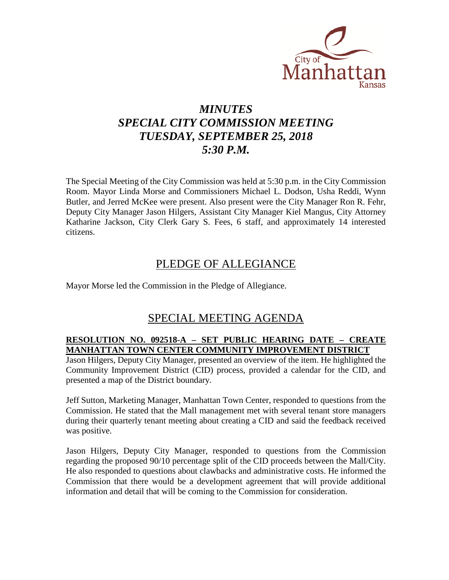

# *MINUTES SPECIAL CITY COMMISSION MEETING TUESDAY, SEPTEMBER 25, 2018 5:30 P.M.*

The Special Meeting of the City Commission was held at 5:30 p.m. in the City Commission Room. Mayor Linda Morse and Commissioners Michael L. Dodson, Usha Reddi, Wynn Butler, and Jerred McKee were present. Also present were the City Manager Ron R. Fehr, Deputy City Manager Jason Hilgers, Assistant City Manager Kiel Mangus, City Attorney Katharine Jackson, City Clerk Gary S. Fees, 6 staff, and approximately 14 interested citizens.

## PLEDGE OF ALLEGIANCE

Mayor Morse led the Commission in the Pledge of Allegiance.

## SPECIAL MEETING AGENDA

### **RESOLUTION NO. 092518-A – SET PUBLIC HEARING DATE – CREATE MANHATTAN TOWN CENTER COMMUNITY IMPROVEMENT DISTRICT**

Jason Hilgers, Deputy City Manager, presented an overview of the item. He highlighted the Community Improvement District (CID) process, provided a calendar for the CID, and presented a map of the District boundary.

Jeff Sutton, Marketing Manager, Manhattan Town Center, responded to questions from the Commission. He stated that the Mall management met with several tenant store managers during their quarterly tenant meeting about creating a CID and said the feedback received was positive.

Jason Hilgers, Deputy City Manager, responded to questions from the Commission regarding the proposed 90/10 percentage split of the CID proceeds between the Mall/City. He also responded to questions about clawbacks and administrative costs. He informed the Commission that there would be a development agreement that will provide additional information and detail that will be coming to the Commission for consideration.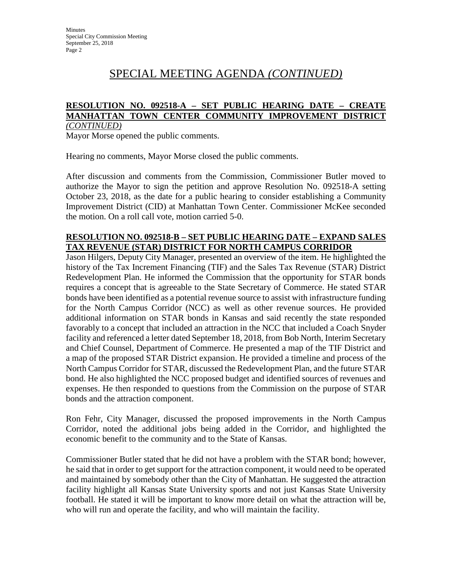# SPECIAL MEETING AGENDA *(CONTINUED)*

#### **RESOLUTION NO. 092518-A – SET PUBLIC HEARING DATE – CREATE MANHATTAN TOWN CENTER COMMUNITY IMPROVEMENT DISTRICT** *(CONTINUED)*

Mayor Morse opened the public comments.

Hearing no comments, Mayor Morse closed the public comments.

After discussion and comments from the Commission, Commissioner Butler moved to authorize the Mayor to sign the petition and approve Resolution No. 092518-A setting October 23, 2018, as the date for a public hearing to consider establishing a Community Improvement District (CID) at Manhattan Town Center. Commissioner McKee seconded the motion. On a roll call vote, motion carried 5-0.

### **RESOLUTION NO. 092518-B – SET PUBLIC HEARING DATE – EXPAND SALES TAX REVENUE (STAR) DISTRICT FOR NORTH CAMPUS CORRIDOR**

Jason Hilgers, Deputy City Manager, presented an overview of the item. He highlighted the history of the Tax Increment Financing (TIF) and the Sales Tax Revenue (STAR) District Redevelopment Plan. He informed the Commission that the opportunity for STAR bonds requires a concept that is agreeable to the State Secretary of Commerce. He stated STAR bonds have been identified as a potential revenue source to assist with infrastructure funding for the North Campus Corridor (NCC) as well as other revenue sources. He provided additional information on STAR bonds in Kansas and said recently the state responded favorably to a concept that included an attraction in the NCC that included a Coach Snyder facility and referenced a letter dated September 18, 2018, from Bob North, Interim Secretary and Chief Counsel, Department of Commerce. He presented a map of the TIF District and a map of the proposed STAR District expansion. He provided a timeline and process of the North Campus Corridor for STAR, discussed the Redevelopment Plan, and the future STAR bond. He also highlighted the NCC proposed budget and identified sources of revenues and expenses. He then responded to questions from the Commission on the purpose of STAR bonds and the attraction component.

Ron Fehr, City Manager, discussed the proposed improvements in the North Campus Corridor, noted the additional jobs being added in the Corridor, and highlighted the economic benefit to the community and to the State of Kansas.

Commissioner Butler stated that he did not have a problem with the STAR bond; however, he said that in order to get support for the attraction component, it would need to be operated and maintained by somebody other than the City of Manhattan. He suggested the attraction facility highlight all Kansas State University sports and not just Kansas State University football. He stated it will be important to know more detail on what the attraction will be, who will run and operate the facility, and who will maintain the facility.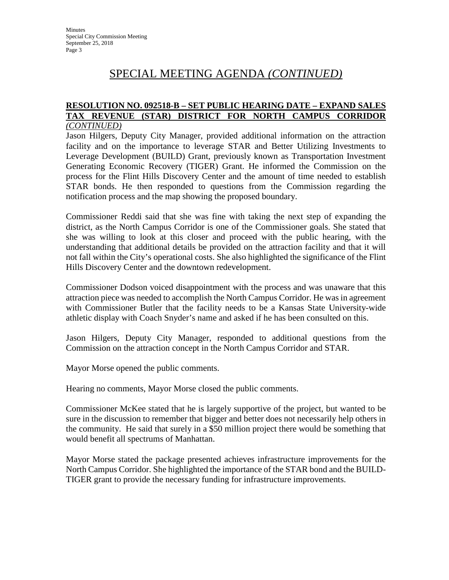# SPECIAL MEETING AGENDA *(CONTINUED)*

#### **RESOLUTION NO. 092518-B – SET PUBLIC HEARING DATE – EXPAND SALES TAX REVENUE (STAR) DISTRICT FOR NORTH CAMPUS CORRIDOR** *(CONTINUED)*

Jason Hilgers, Deputy City Manager, provided additional information on the attraction facility and on the importance to leverage STAR and Better Utilizing Investments to Leverage Development (BUILD) Grant, previously known as Transportation Investment Generating Economic Recovery (TIGER) Grant. He informed the Commission on the process for the Flint Hills Discovery Center and the amount of time needed to establish STAR bonds. He then responded to questions from the Commission regarding the notification process and the map showing the proposed boundary.

Commissioner Reddi said that she was fine with taking the next step of expanding the district, as the North Campus Corridor is one of the Commissioner goals. She stated that she was willing to look at this closer and proceed with the public hearing, with the understanding that additional details be provided on the attraction facility and that it will not fall within the City's operational costs. She also highlighted the significance of the Flint Hills Discovery Center and the downtown redevelopment.

Commissioner Dodson voiced disappointment with the process and was unaware that this attraction piece was needed to accomplish the North Campus Corridor. He was in agreement with Commissioner Butler that the facility needs to be a Kansas State University-wide athletic display with Coach Snyder's name and asked if he has been consulted on this.

Jason Hilgers, Deputy City Manager, responded to additional questions from the Commission on the attraction concept in the North Campus Corridor and STAR.

Mayor Morse opened the public comments.

Hearing no comments, Mayor Morse closed the public comments.

Commissioner McKee stated that he is largely supportive of the project, but wanted to be sure in the discussion to remember that bigger and better does not necessarily help others in the community. He said that surely in a \$50 million project there would be something that would benefit all spectrums of Manhattan.

Mayor Morse stated the package presented achieves infrastructure improvements for the North Campus Corridor. She highlighted the importance of the STAR bond and the BUILD-TIGER grant to provide the necessary funding for infrastructure improvements.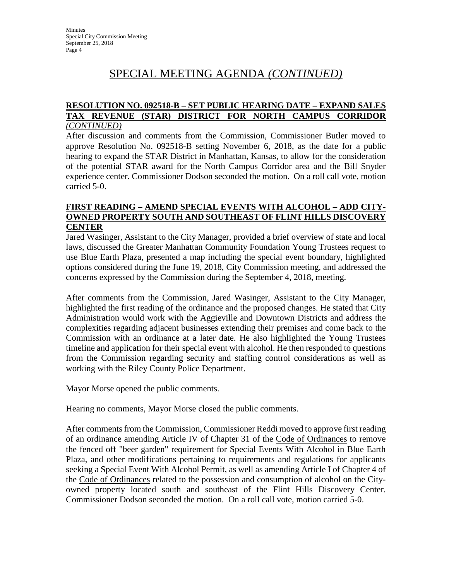# SPECIAL MEETING AGENDA *(CONTINUED)*

#### **RESOLUTION NO. 092518-B – SET PUBLIC HEARING DATE – EXPAND SALES TAX REVENUE (STAR) DISTRICT FOR NORTH CAMPUS CORRIDOR** *(CONTINUED)*

After discussion and comments from the Commission, Commissioner Butler moved to approve Resolution No. 092518-B setting November 6, 2018, as the date for a public hearing to expand the STAR District in Manhattan, Kansas, to allow for the consideration of the potential STAR award for the North Campus Corridor area and the Bill Snyder experience center. Commissioner Dodson seconded the motion. On a roll call vote, motion carried 5-0.

### **FIRST READING – AMEND SPECIAL EVENTS WITH ALCOHOL – ADD CITY-OWNED PROPERTY SOUTH AND SOUTHEAST OF FLINT HILLS DISCOVERY CENTER**

Jared Wasinger, Assistant to the City Manager, provided a brief overview of state and local laws, discussed the Greater Manhattan Community Foundation Young Trustees request to use Blue Earth Plaza, presented a map including the special event boundary, highlighted options considered during the June 19, 2018, City Commission meeting, and addressed the concerns expressed by the Commission during the September 4, 2018, meeting.

After comments from the Commission, Jared Wasinger, Assistant to the City Manager, highlighted the first reading of the ordinance and the proposed changes. He stated that City Administration would work with the Aggieville and Downtown Districts and address the complexities regarding adjacent businesses extending their premises and come back to the Commission with an ordinance at a later date. He also highlighted the Young Trustees timeline and application for their special event with alcohol. He then responded to questions from the Commission regarding security and staffing control considerations as well as working with the Riley County Police Department.

Mayor Morse opened the public comments.

Hearing no comments, Mayor Morse closed the public comments.

After comments from the Commission, Commissioner Reddi moved to approve first reading of an ordinance amending Article IV of Chapter 31 of the Code of Ordinances to remove the fenced off "beer garden" requirement for Special Events With Alcohol in Blue Earth Plaza, and other modifications pertaining to requirements and regulations for applicants seeking a Special Event With Alcohol Permit, as well as amending Article I of Chapter 4 of the Code of Ordinances related to the possession and consumption of alcohol on the Cityowned property located south and southeast of the Flint Hills Discovery Center. Commissioner Dodson seconded the motion. On a roll call vote, motion carried 5-0.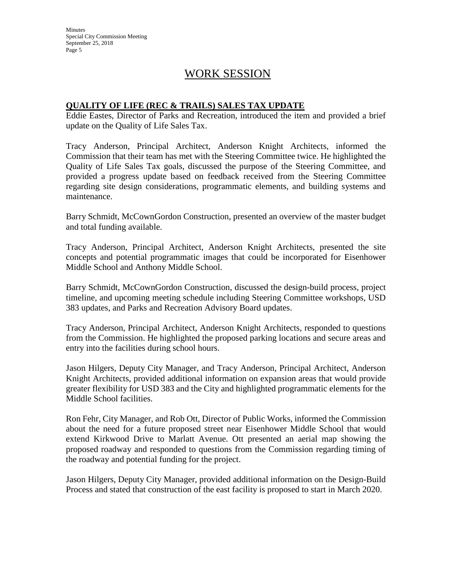**Minutes** Special City Commission Meeting September 25, 2018 Page 5

## WORK SESSION

### **QUALITY OF LIFE (REC & TRAILS) SALES TAX UPDATE**

Eddie Eastes, Director of Parks and Recreation, introduced the item and provided a brief update on the Quality of Life Sales Tax.

Tracy Anderson, Principal Architect, Anderson Knight Architects, informed the Commission that their team has met with the Steering Committee twice. He highlighted the Quality of Life Sales Tax goals, discussed the purpose of the Steering Committee, and provided a progress update based on feedback received from the Steering Committee regarding site design considerations, programmatic elements, and building systems and maintenance.

Barry Schmidt, McCownGordon Construction, presented an overview of the master budget and total funding available.

Tracy Anderson, Principal Architect, Anderson Knight Architects, presented the site concepts and potential programmatic images that could be incorporated for Eisenhower Middle School and Anthony Middle School.

Barry Schmidt, McCownGordon Construction, discussed the design-build process, project timeline, and upcoming meeting schedule including Steering Committee workshops, USD 383 updates, and Parks and Recreation Advisory Board updates.

Tracy Anderson, Principal Architect, Anderson Knight Architects, responded to questions from the Commission. He highlighted the proposed parking locations and secure areas and entry into the facilities during school hours.

Jason Hilgers, Deputy City Manager, and Tracy Anderson, Principal Architect, Anderson Knight Architects, provided additional information on expansion areas that would provide greater flexibility for USD 383 and the City and highlighted programmatic elements for the Middle School facilities.

Ron Fehr, City Manager, and Rob Ott, Director of Public Works, informed the Commission about the need for a future proposed street near Eisenhower Middle School that would extend Kirkwood Drive to Marlatt Avenue. Ott presented an aerial map showing the proposed roadway and responded to questions from the Commission regarding timing of the roadway and potential funding for the project.

Jason Hilgers, Deputy City Manager, provided additional information on the Design-Build Process and stated that construction of the east facility is proposed to start in March 2020.